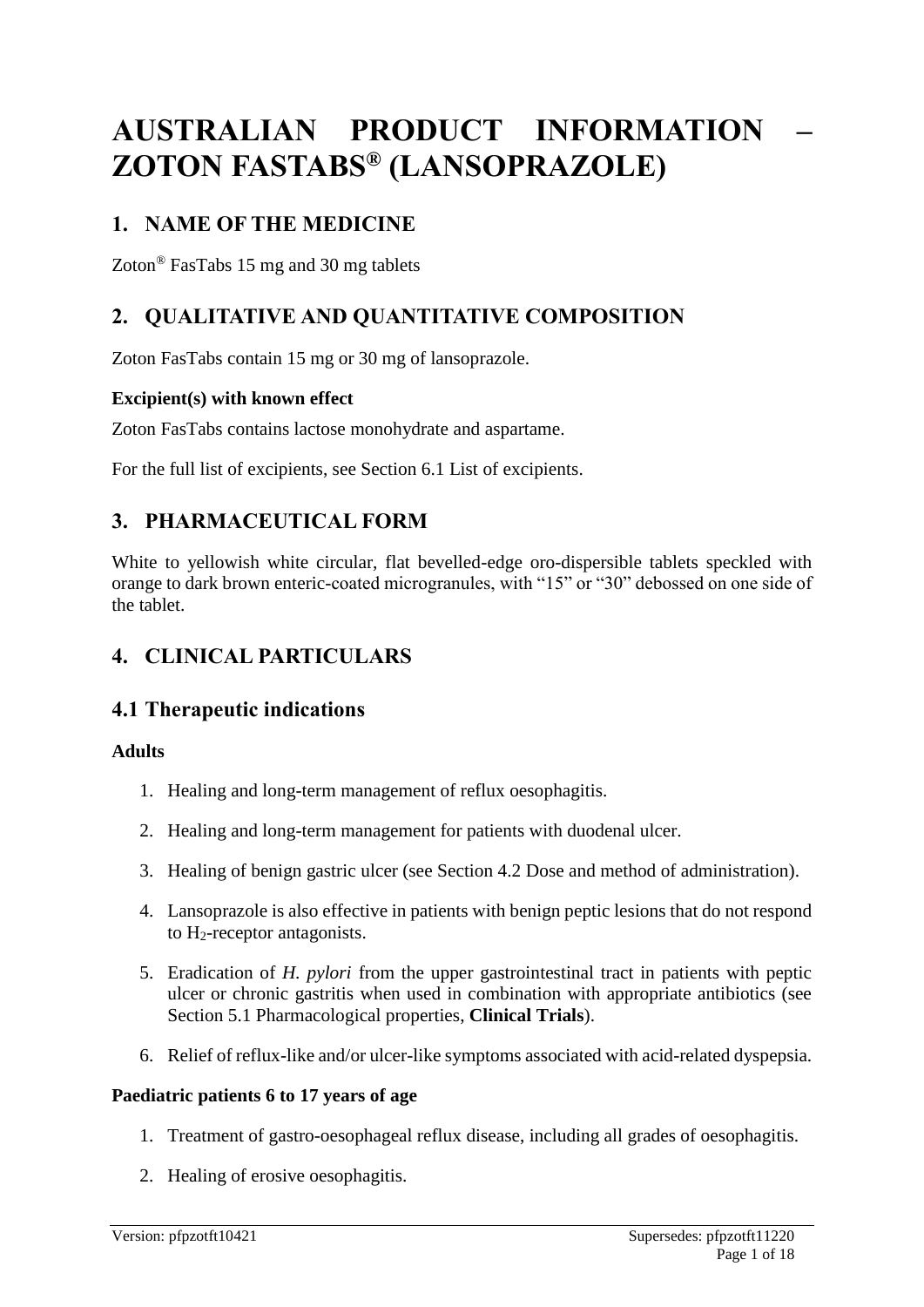# **AUSTRALIAN PRODUCT INFORMATION – ZOTON FASTABS® (LANSOPRAZOLE)**

# **1. NAME OF THE MEDICINE**

Zoton® FasTabs 15 mg and 30 mg tablets

# **2. QUALITATIVE AND QUANTITATIVE COMPOSITION**

Zoton FasTabs contain 15 mg or 30 mg of lansoprazole.

### **Excipient(s) with known effect**

Zoton FasTabs contains lactose monohydrate and aspartame.

For the full list of excipients, see Section 6.1 List of excipients.

# **3. PHARMACEUTICAL FORM**

White to yellowish white circular, flat bevelled-edge oro-dispersible tablets speckled with orange to dark brown enteric-coated microgranules, with "15" or "30" debossed on one side of the tablet.

# **4. CLINICAL PARTICULARS**

# **4.1 Therapeutic indications**

#### **Adults**

- 1. Healing and long-term management of reflux oesophagitis.
- 2. Healing and long-term management for patients with duodenal ulcer.
- 3. Healing of benign gastric ulcer (see Section 4.2 Dose and method of administration).
- 4. Lansoprazole is also effective in patients with benign peptic lesions that do not respond to H2-receptor antagonists.
- 5. Eradication of *H. pylori* from the upper gastrointestinal tract in patients with peptic ulcer or chronic gastritis when used in combination with appropriate antibiotics (see Section 5.1 Pharmacological properties, **Clinical Trials**).
- 6. Relief of reflux-like and/or ulcer-like symptoms associated with acid-related dyspepsia.

#### **Paediatric patients 6 to 17 years of age**

- 1. Treatment of gastro-oesophageal reflux disease, including all grades of oesophagitis.
- 2. Healing of erosive oesophagitis.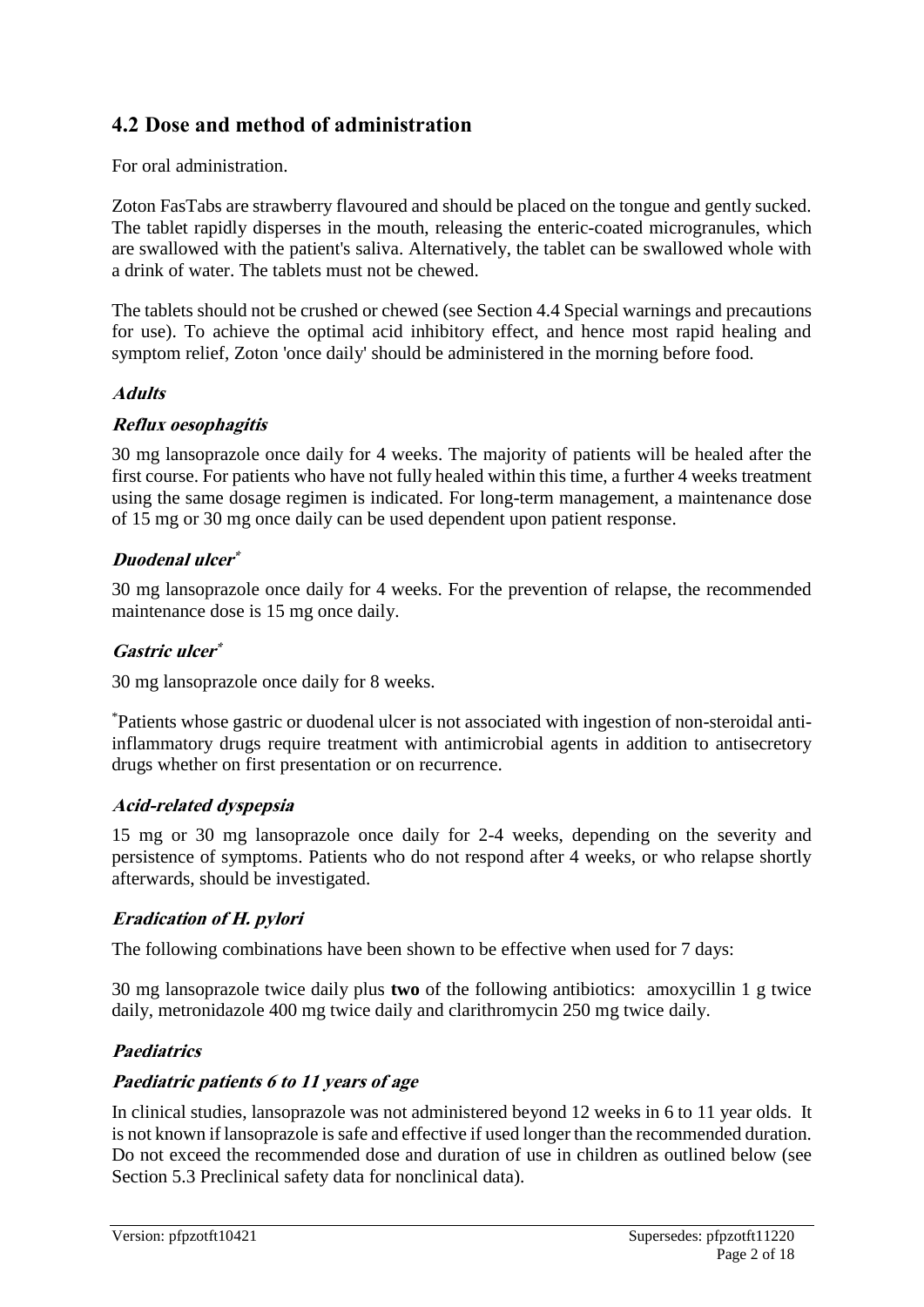# **4.2 Dose and method of administration**

For oral administration.

Zoton FasTabs are strawberry flavoured and should be placed on the tongue and gently sucked. The tablet rapidly disperses in the mouth, releasing the enteric-coated microgranules, which are swallowed with the patient's saliva. Alternatively, the tablet can be swallowed whole with a drink of water. The tablets must not be chewed.

The tablets should not be crushed or chewed (see Section 4.4 Special warnings and precautions for use). To achieve the optimal acid inhibitory effect, and hence most rapid healing and symptom relief, Zoton 'once daily' should be administered in the morning before food.

#### **Adults**

#### **Reflux oesophagitis**

30 mg lansoprazole once daily for 4 weeks. The majority of patients will be healed after the first course. For patients who have not fully healed within this time, a further 4 weeks treatment using the same dosage regimen is indicated. For long-term management, a maintenance dose of 15 mg or 30 mg once daily can be used dependent upon patient response.

#### **Duodenal ulcer \***

30 mg lansoprazole once daily for 4 weeks. For the prevention of relapse, the recommended maintenance dose is 15 mg once daily.

### **Gastric ulcer \***

30 mg lansoprazole once daily for 8 weeks.

\*Patients whose gastric or duodenal ulcer is not associated with ingestion of non-steroidal antiinflammatory drugs require treatment with antimicrobial agents in addition to antisecretory drugs whether on first presentation or on recurrence.

# **Acid-related dyspepsia**

15 mg or 30 mg lansoprazole once daily for 2-4 weeks, depending on the severity and persistence of symptoms. Patients who do not respond after 4 weeks, or who relapse shortly afterwards, should be investigated.

# **Eradication of H. pylori**

The following combinations have been shown to be effective when used for 7 days:

30 mg lansoprazole twice daily plus **two** of the following antibiotics: amoxycillin 1 g twice daily, metronidazole 400 mg twice daily and clarithromycin 250 mg twice daily.

# **Paediatrics**

#### **Paediatric patients 6 to 11 years of age**

In clinical studies, lansoprazole was not administered beyond 12 weeks in 6 to 11 year olds. It is not known if lansoprazole is safe and effective if used longer than the recommended duration. Do not exceed the recommended dose and duration of use in children as outlined below (see Section 5.3 Preclinical safety data for nonclinical data).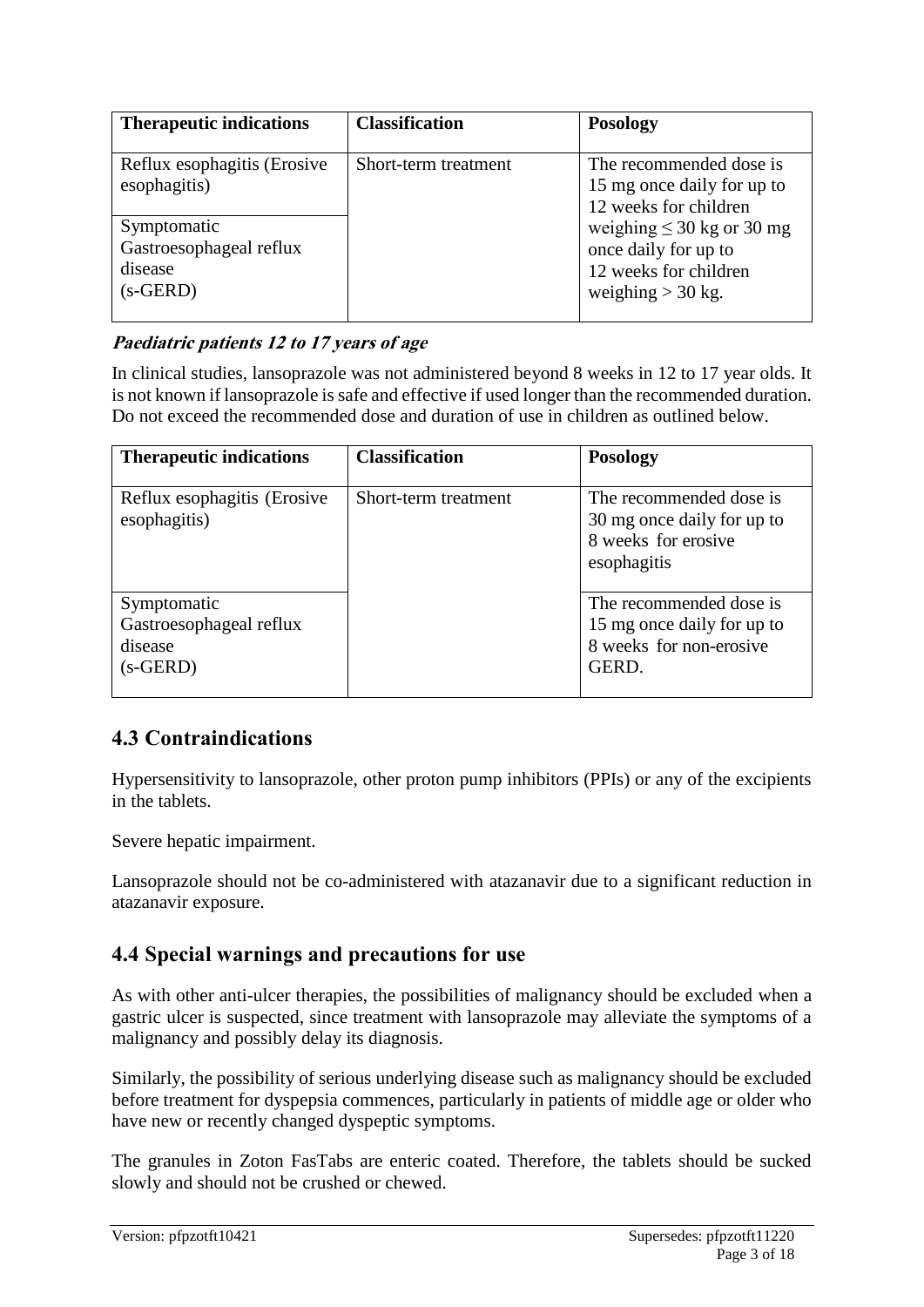| <b>Therapeutic indications</b>                                  | <b>Classification</b> | <b>Posology</b>                                                                                        |
|-----------------------------------------------------------------|-----------------------|--------------------------------------------------------------------------------------------------------|
| Reflux esophagitis (Erosive<br>esophagitis)                     | Short-term treatment  | The recommended dose is<br>15 mg once daily for up to<br>12 weeks for children                         |
| Symptomatic<br>Gastroesophageal reflux<br>disease<br>$(s-GERD)$ |                       | weighing $\leq 30$ kg or 30 mg<br>once daily for up to<br>12 weeks for children<br>weighing $>$ 30 kg. |

# **Paediatric patients 12 to 17 years of age**

In clinical studies, lansoprazole was not administered beyond 8 weeks in 12 to 17 year olds. It is not known if lansoprazole is safe and effective if used longer than the recommended duration. Do not exceed the recommended dose and duration of use in children as outlined below.

| <b>Therapeutic indications</b>                                  | <b>Classification</b> | <b>Posology</b>                                                                             |
|-----------------------------------------------------------------|-----------------------|---------------------------------------------------------------------------------------------|
| Reflux esophagitis (Erosive<br>esophagitis)                     | Short-term treatment  | The recommended dose is<br>30 mg once daily for up to<br>8 weeks for erosive<br>esophagitis |
| Symptomatic<br>Gastroesophageal reflux<br>disease<br>$(s-GERD)$ |                       | The recommended dose is<br>15 mg once daily for up to<br>8 weeks for non-erosive<br>GERD.   |

# **4.3 Contraindications**

Hypersensitivity to lansoprazole, other proton pump inhibitors (PPIs) or any of the excipients in the tablets.

Severe hepatic impairment.

Lansoprazole should not be co-administered with atazanavir due to a significant reduction in atazanavir exposure.

# **4.4 Special warnings and precautions for use**

As with other anti-ulcer therapies, the possibilities of malignancy should be excluded when a gastric ulcer is suspected, since treatment with lansoprazole may alleviate the symptoms of a malignancy and possibly delay its diagnosis.

Similarly, the possibility of serious underlying disease such as malignancy should be excluded before treatment for dyspepsia commences, particularly in patients of middle age or older who have new or recently changed dyspeptic symptoms.

The granules in Zoton FasTabs are enteric coated. Therefore, the tablets should be sucked slowly and should not be crushed or chewed.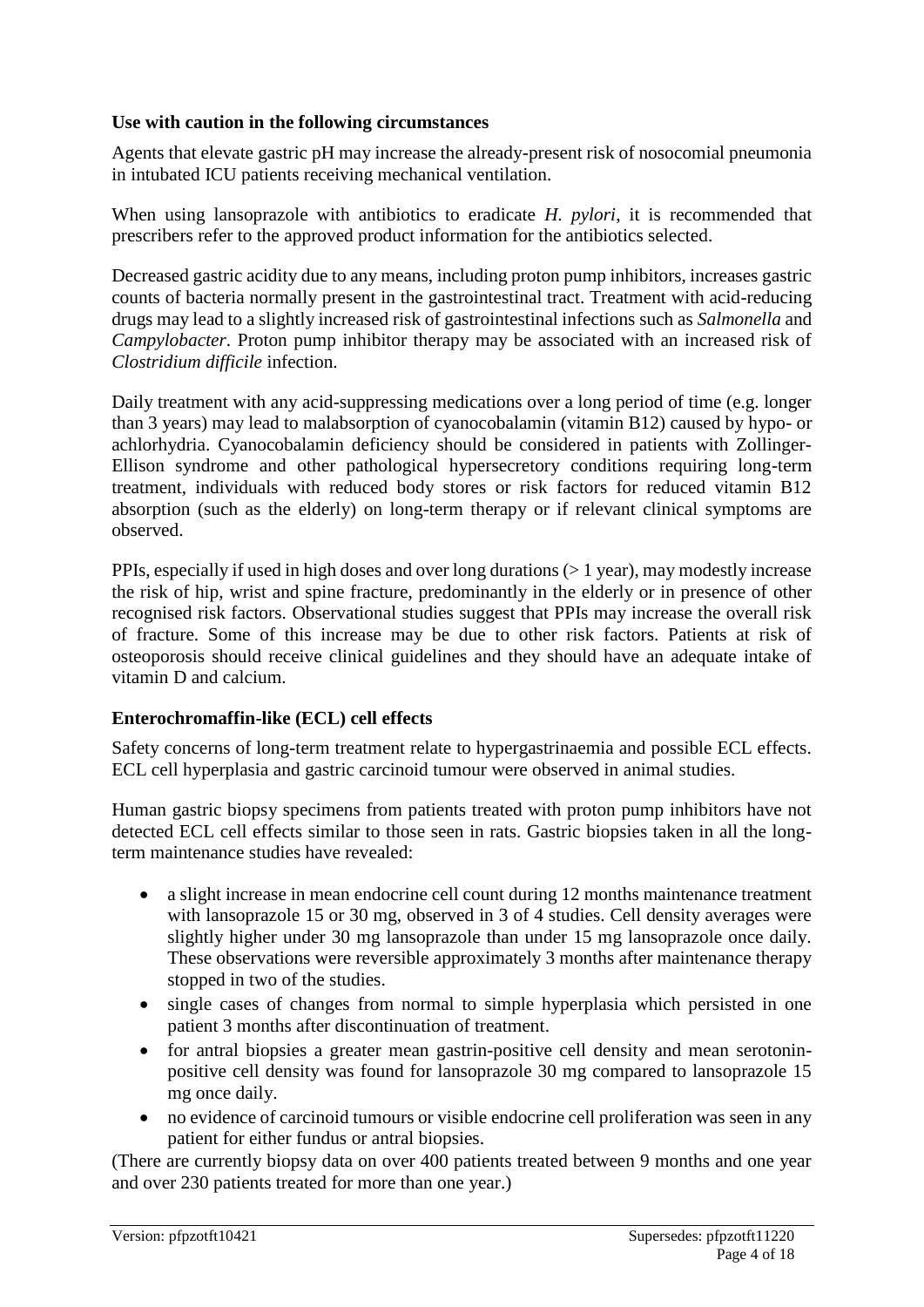#### **Use with caution in the following circumstances**

Agents that elevate gastric pH may increase the already-present risk of nosocomial pneumonia in intubated ICU patients receiving mechanical ventilation.

When using lansoprazole with antibiotics to eradicate *H. pylori*, it is recommended that prescribers refer to the approved product information for the antibiotics selected.

Decreased gastric acidity due to any means, including proton pump inhibitors, increases gastric counts of bacteria normally present in the gastrointestinal tract. Treatment with acid-reducing drugs may lead to a slightly increased risk of gastrointestinal infections such as *Salmonella* and *Campylobacter*. Proton pump inhibitor therapy may be associated with an increased risk of *Clostridium difficile* infection.

Daily treatment with any acid-suppressing medications over a long period of time (e.g. longer than 3 years) may lead to malabsorption of cyanocobalamin (vitamin B12) caused by hypo- or achlorhydria. Cyanocobalamin deficiency should be considered in patients with Zollinger-Ellison syndrome and other pathological hypersecretory conditions requiring long-term treatment, individuals with reduced body stores or risk factors for reduced vitamin B12 absorption (such as the elderly) on long-term therapy or if relevant clinical symptoms are observed.

PPIs, especially if used in high doses and over long durations  $(>1$  year), may modestly increase the risk of hip, wrist and spine fracture, predominantly in the elderly or in presence of other recognised risk factors. Observational studies suggest that PPIs may increase the overall risk of fracture. Some of this increase may be due to other risk factors. Patients at risk of osteoporosis should receive clinical guidelines and they should have an adequate intake of vitamin D and calcium.

#### **Enterochromaffin-like (ECL) cell effects**

Safety concerns of long-term treatment relate to hypergastrinaemia and possible ECL effects. ECL cell hyperplasia and gastric carcinoid tumour were observed in animal studies.

Human gastric biopsy specimens from patients treated with proton pump inhibitors have not detected ECL cell effects similar to those seen in rats. Gastric biopsies taken in all the longterm maintenance studies have revealed:

- a slight increase in mean endocrine cell count during 12 months maintenance treatment with lansoprazole 15 or 30 mg, observed in 3 of 4 studies. Cell density averages were slightly higher under 30 mg lansoprazole than under 15 mg lansoprazole once daily. These observations were reversible approximately 3 months after maintenance therapy stopped in two of the studies.
- single cases of changes from normal to simple hyperplasia which persisted in one patient 3 months after discontinuation of treatment.
- for antral biopsies a greater mean gastrin-positive cell density and mean serotoninpositive cell density was found for lansoprazole 30 mg compared to lansoprazole 15 mg once daily.
- no evidence of carcinoid tumours or visible endocrine cell proliferation was seen in any patient for either fundus or antral biopsies.

(There are currently biopsy data on over 400 patients treated between 9 months and one year and over 230 patients treated for more than one year.)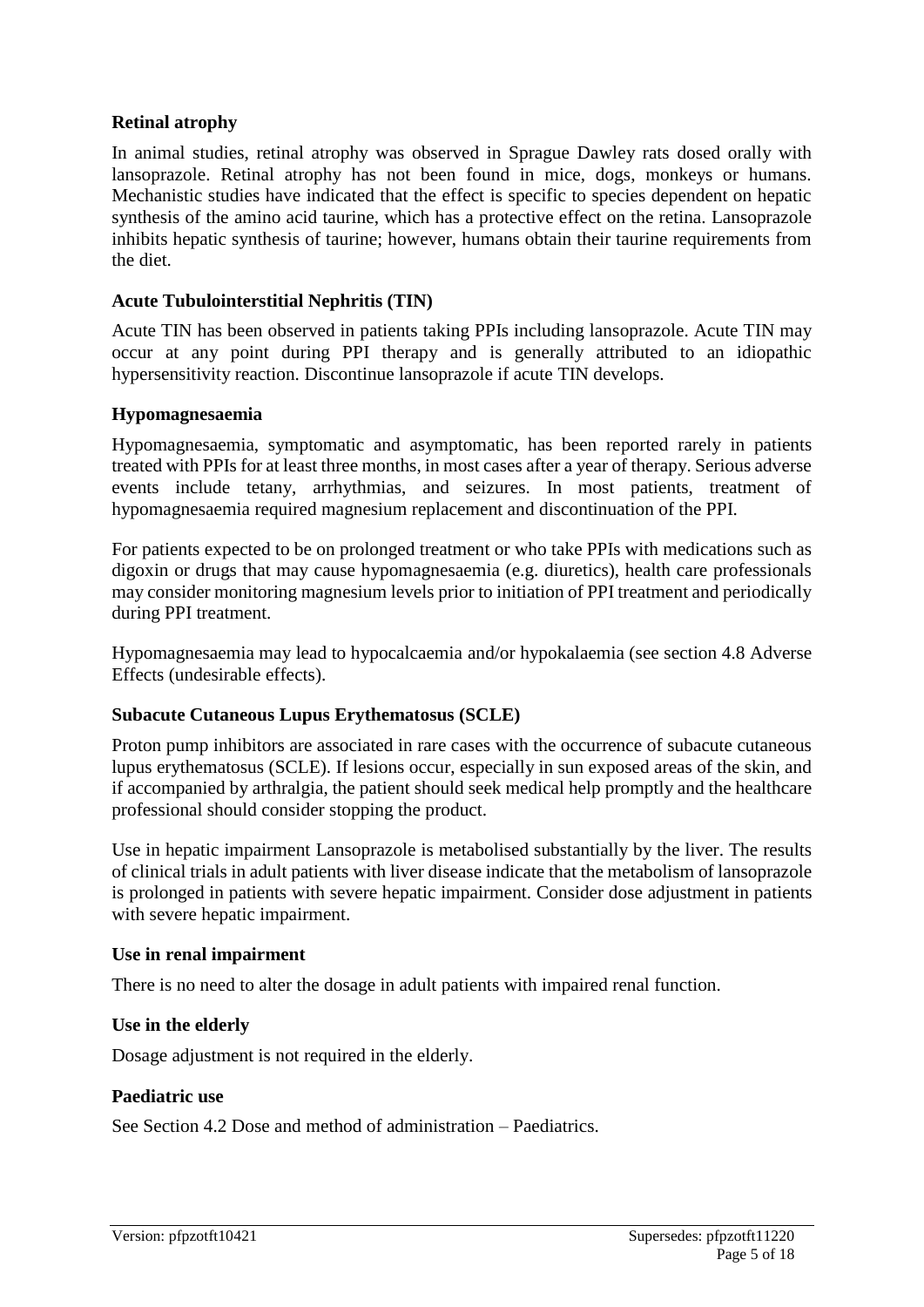#### **Retinal atrophy**

In animal studies, retinal atrophy was observed in Sprague Dawley rats dosed orally with lansoprazole. Retinal atrophy has not been found in mice, dogs, monkeys or humans. Mechanistic studies have indicated that the effect is specific to species dependent on hepatic synthesis of the amino acid taurine, which has a protective effect on the retina. Lansoprazole inhibits hepatic synthesis of taurine; however, humans obtain their taurine requirements from the diet.

#### **Acute Tubulointerstitial Nephritis (TIN)**

Acute TIN has been observed in patients taking PPIs including lansoprazole. Acute TIN may occur at any point during PPI therapy and is generally attributed to an idiopathic hypersensitivity reaction. Discontinue lansoprazole if acute TIN develops.

#### **Hypomagnesaemia**

Hypomagnesaemia, symptomatic and asymptomatic, has been reported rarely in patients treated with PPIs for at least three months, in most cases after a year of therapy. Serious adverse events include tetany, arrhythmias, and seizures. In most patients, treatment of hypomagnesaemia required magnesium replacement and discontinuation of the PPI.

For patients expected to be on prolonged treatment or who take PPIs with medications such as digoxin or drugs that may cause hypomagnesaemia (e.g. diuretics), health care professionals may consider monitoring magnesium levels prior to initiation of PPI treatment and periodically during PPI treatment.

Hypomagnesaemia may lead to hypocalcaemia and/or hypokalaemia (see section 4.8 Adverse Effects (undesirable effects).

#### **Subacute Cutaneous Lupus Erythematosus (SCLE)**

Proton pump inhibitors are associated in rare cases with the occurrence of subacute cutaneous lupus erythematosus (SCLE). If lesions occur, especially in sun exposed areas of the skin, and if accompanied by arthralgia, the patient should seek medical help promptly and the healthcare professional should consider stopping the product.

Use in hepatic impairment Lansoprazole is metabolised substantially by the liver. The results of clinical trials in adult patients with liver disease indicate that the metabolism of lansoprazole is prolonged in patients with severe hepatic impairment. Consider dose adjustment in patients with severe hepatic impairment.

#### **Use in renal impairment**

There is no need to alter the dosage in adult patients with impaired renal function.

#### **Use in the elderly**

Dosage adjustment is not required in the elderly.

#### **Paediatric use**

See Section 4.2 Dose and method of administration – Paediatrics.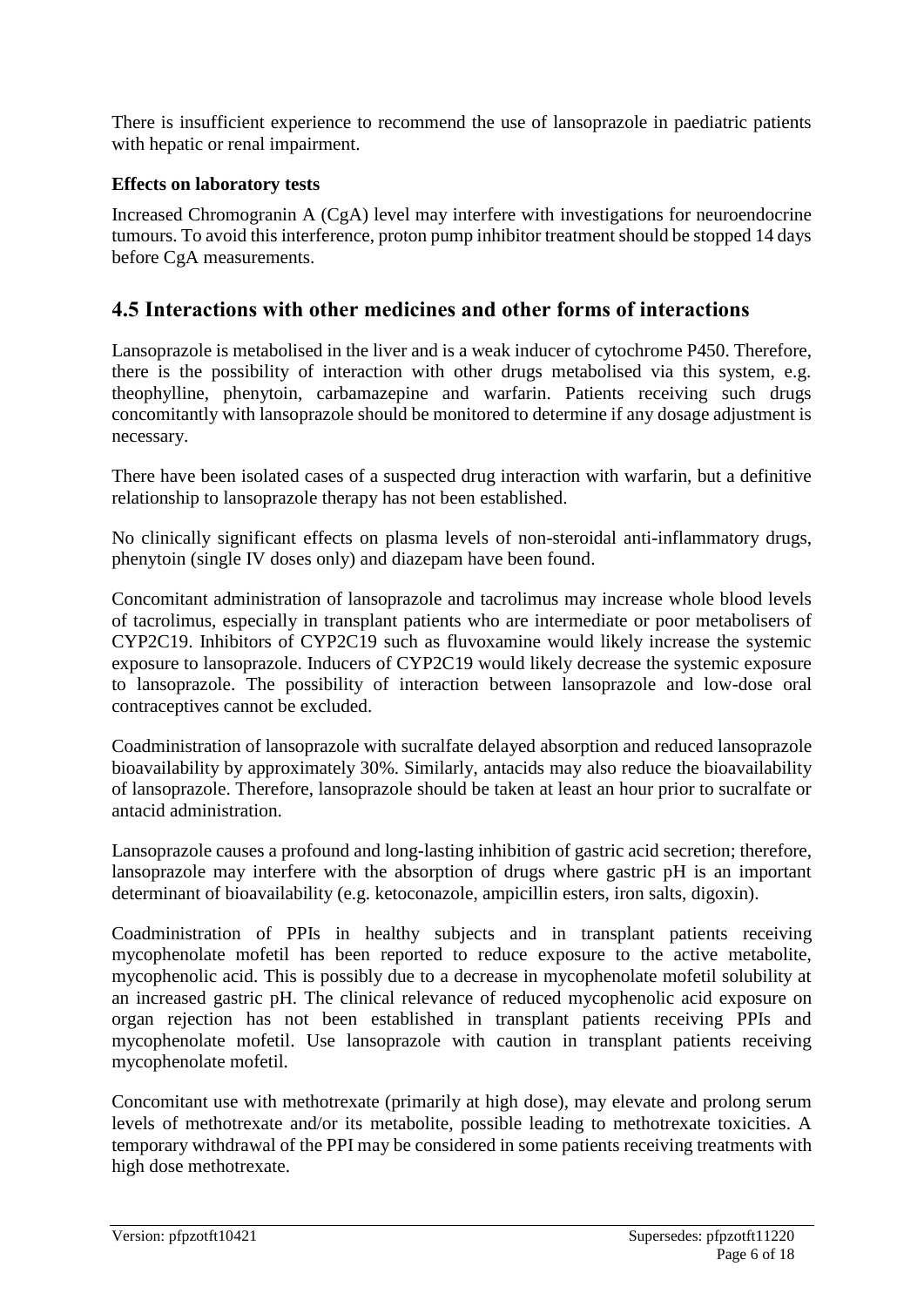There is insufficient experience to recommend the use of lansoprazole in paediatric patients with hepatic or renal impairment.

#### **Effects on laboratory tests**

Increased Chromogranin A (CgA) level may interfere with investigations for neuroendocrine tumours. To avoid this interference, proton pump inhibitor treatment should be stopped 14 days before CgA measurements.

# **4.5 Interactions with other medicines and other forms of interactions**

Lansoprazole is metabolised in the liver and is a weak inducer of cytochrome P450. Therefore, there is the possibility of interaction with other drugs metabolised via this system, e.g. theophylline, phenytoin, carbamazepine and warfarin. Patients receiving such drugs concomitantly with lansoprazole should be monitored to determine if any dosage adjustment is necessary.

There have been isolated cases of a suspected drug interaction with warfarin, but a definitive relationship to lansoprazole therapy has not been established.

No clinically significant effects on plasma levels of non-steroidal anti-inflammatory drugs, phenytoin (single IV doses only) and diazepam have been found.

Concomitant administration of lansoprazole and tacrolimus may increase whole blood levels of tacrolimus, especially in transplant patients who are intermediate or poor metabolisers of CYP2C19. Inhibitors of CYP2C19 such as fluvoxamine would likely increase the systemic exposure to lansoprazole. Inducers of CYP2C19 would likely decrease the systemic exposure to lansoprazole. The possibility of interaction between lansoprazole and low-dose oral contraceptives cannot be excluded.

Coadministration of lansoprazole with sucralfate delayed absorption and reduced lansoprazole bioavailability by approximately 30%. Similarly, antacids may also reduce the bioavailability of lansoprazole. Therefore, lansoprazole should be taken at least an hour prior to sucralfate or antacid administration.

Lansoprazole causes a profound and long-lasting inhibition of gastric acid secretion; therefore, lansoprazole may interfere with the absorption of drugs where gastric pH is an important determinant of bioavailability (e.g. ketoconazole, ampicillin esters, iron salts, digoxin).

Coadministration of PPIs in healthy subjects and in transplant patients receiving mycophenolate mofetil has been reported to reduce exposure to the active metabolite, mycophenolic acid. This is possibly due to a decrease in mycophenolate mofetil solubility at an increased gastric pH. The clinical relevance of reduced mycophenolic acid exposure on organ rejection has not been established in transplant patients receiving PPIs and mycophenolate mofetil. Use lansoprazole with caution in transplant patients receiving mycophenolate mofetil.

Concomitant use with methotrexate (primarily at high dose), may elevate and prolong serum levels of methotrexate and/or its metabolite, possible leading to methotrexate toxicities. A temporary withdrawal of the PPI may be considered in some patients receiving treatments with high dose methotrexate.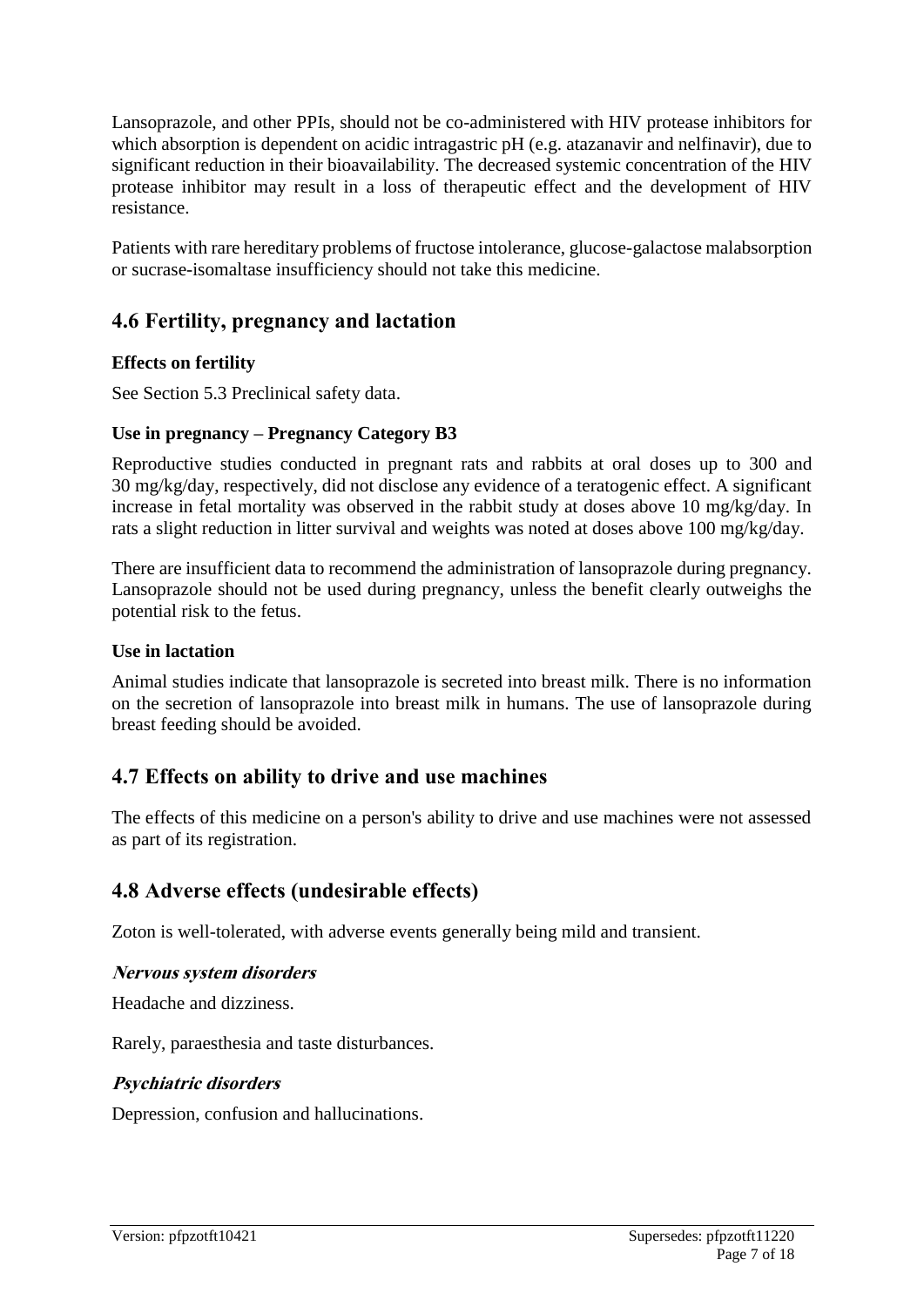Lansoprazole, and other PPIs, should not be co-administered with HIV protease inhibitors for which absorption is dependent on acidic intragastric pH (e.g. atazanavir and nelfinavir), due to significant reduction in their bioavailability. The decreased systemic concentration of the HIV protease inhibitor may result in a loss of therapeutic effect and the development of HIV resistance.

Patients with rare hereditary problems of fructose intolerance, glucose-galactose malabsorption or sucrase-isomaltase insufficiency should not take this medicine.

# **4.6 Fertility, pregnancy and lactation**

#### **Effects on fertility**

See Section 5.3 Preclinical safety data.

#### **Use in pregnancy – Pregnancy Category B3**

Reproductive studies conducted in pregnant rats and rabbits at oral doses up to 300 and 30 mg/kg/day, respectively, did not disclose any evidence of a teratogenic effect. A significant increase in fetal mortality was observed in the rabbit study at doses above 10 mg/kg/day. In rats a slight reduction in litter survival and weights was noted at doses above 100 mg/kg/day.

There are insufficient data to recommend the administration of lansoprazole during pregnancy. Lansoprazole should not be used during pregnancy, unless the benefit clearly outweighs the potential risk to the fetus.

#### **Use in lactation**

Animal studies indicate that lansoprazole is secreted into breast milk. There is no information on the secretion of lansoprazole into breast milk in humans. The use of lansoprazole during breast feeding should be avoided.

# **4.7 Effects on ability to drive and use machines**

The effects of this medicine on a person's ability to drive and use machines were not assessed as part of its registration.

# **4.8 Adverse effects (undesirable effects)**

Zoton is well-tolerated, with adverse events generally being mild and transient.

#### **Nervous system disorders**

Headache and dizziness.

Rarely, paraesthesia and taste disturbances.

#### **Psychiatric disorders**

Depression, confusion and hallucinations.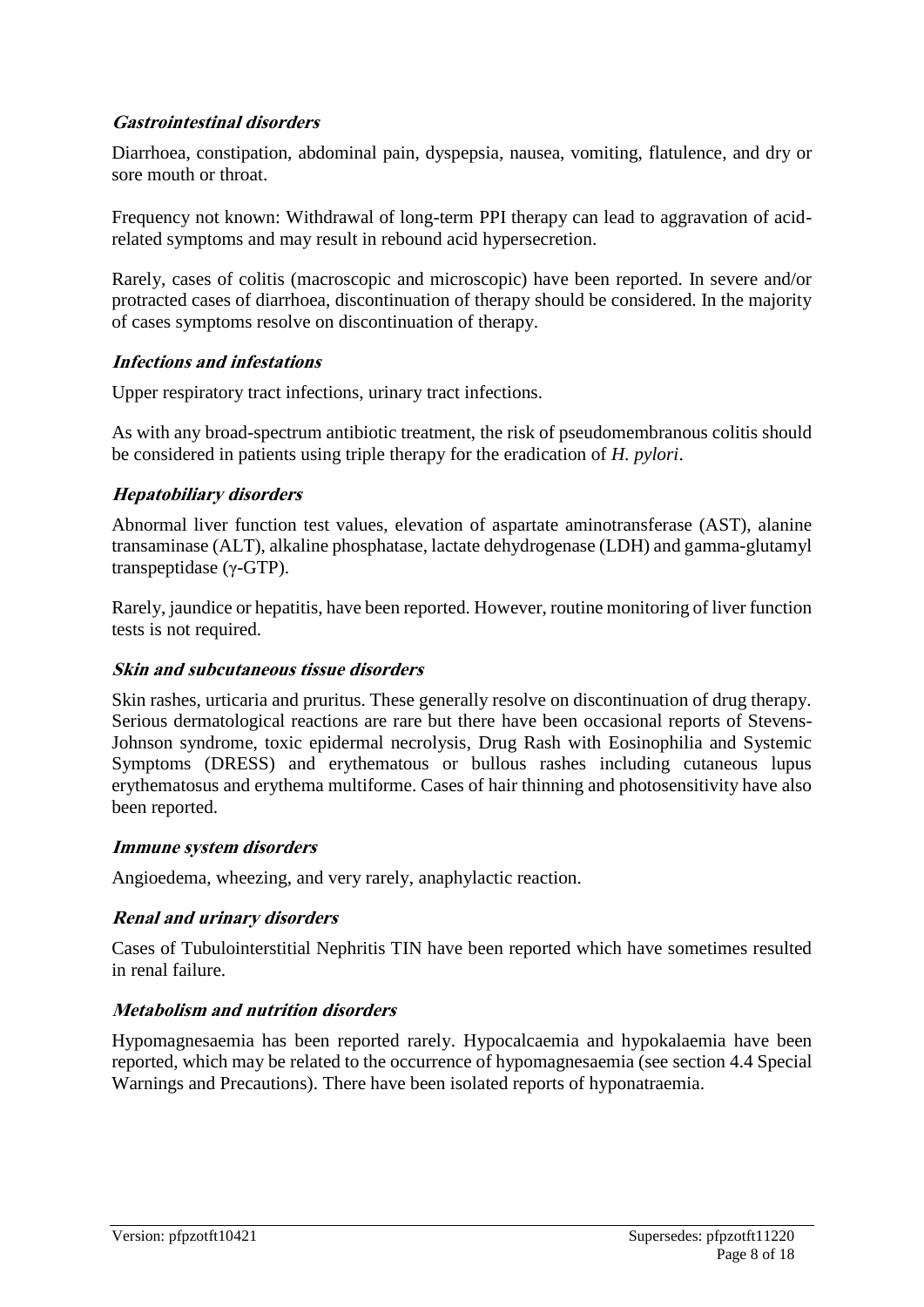#### **Gastrointestinal disorders**

Diarrhoea, constipation, abdominal pain, dyspepsia, nausea, vomiting, flatulence, and dry or sore mouth or throat.

Frequency not known: Withdrawal of long-term PPI therapy can lead to aggravation of acidrelated symptoms and may result in rebound acid hypersecretion.

Rarely, cases of colitis (macroscopic and microscopic) have been reported. In severe and/or protracted cases of diarrhoea, discontinuation of therapy should be considered. In the majority of cases symptoms resolve on discontinuation of therapy.

#### **Infections and infestations**

Upper respiratory tract infections, urinary tract infections.

As with any broad-spectrum antibiotic treatment, the risk of pseudomembranous colitis should be considered in patients using triple therapy for the eradication of *H. pylori*.

#### **Hepatobiliary disorders**

Abnormal liver function test values, elevation of aspartate aminotransferase (AST), alanine transaminase (ALT), alkaline phosphatase, lactate dehydrogenase (LDH) and gamma-glutamyl transpeptidase (γ-GTP).

Rarely, jaundice or hepatitis, have been reported. However, routine monitoring of liver function tests is not required.

#### **Skin and subcutaneous tissue disorders**

Skin rashes, urticaria and pruritus. These generally resolve on discontinuation of drug therapy. Serious dermatological reactions are rare but there have been occasional reports of Stevens-Johnson syndrome, toxic epidermal necrolysis, Drug Rash with Eosinophilia and Systemic Symptoms (DRESS) and erythematous or bullous rashes including cutaneous lupus erythematosus and erythema multiforme. Cases of hair thinning and photosensitivity have also been reported.

#### **Immune system disorders**

Angioedema, wheezing, and very rarely, anaphylactic reaction.

#### **Renal and urinary disorders**

Cases of Tubulointerstitial Nephritis TIN have been reported which have sometimes resulted in renal failure.

#### **Metabolism and nutrition disorders**

Hypomagnesaemia has been reported rarely. Hypocalcaemia and hypokalaemia have been reported, which may be related to the occurrence of hypomagnesaemia (see section 4.4 Special Warnings and Precautions). There have been isolated reports of hyponatraemia.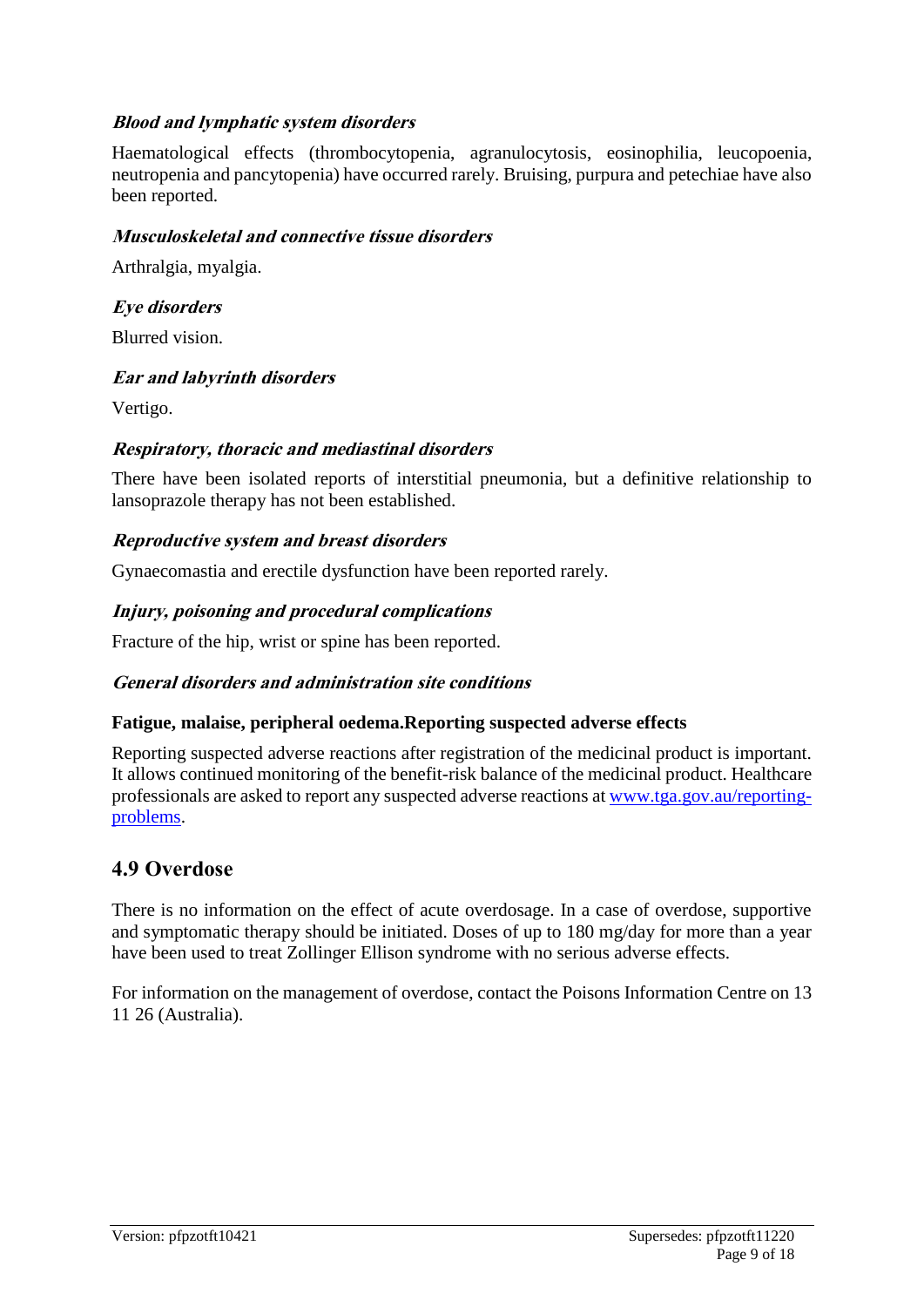#### **Blood and lymphatic system disorders**

Haematological effects (thrombocytopenia, agranulocytosis, eosinophilia, leucopoenia, neutropenia and pancytopenia) have occurred rarely. Bruising, purpura and petechiae have also been reported.

#### **Musculoskeletal and connective tissue disorders**

Arthralgia, myalgia.

**Eye disorders**

Blurred vision.

#### **Ear and labyrinth disorders**

Vertigo.

#### **Respiratory, thoracic and mediastinal disorders**

There have been isolated reports of interstitial pneumonia, but a definitive relationship to lansoprazole therapy has not been established.

#### **Reproductive system and breast disorders**

Gynaecomastia and erectile dysfunction have been reported rarely.

#### **Injury, poisoning and procedural complications**

Fracture of the hip, wrist or spine has been reported.

#### **General disorders and administration site conditions**

#### **Fatigue, malaise, peripheral oedema.Reporting suspected adverse effects**

Reporting suspected adverse reactions after registration of the medicinal product is important. It allows continued monitoring of the benefit-risk balance of the medicinal product. Healthcare professionals are asked to report any suspected adverse reactions at [www.tga.gov.au/reporting](http://www.tga.gov.au/reporting-problems)[problems.](http://www.tga.gov.au/reporting-problems)

# **4.9 Overdose**

There is no information on the effect of acute overdosage. In a case of overdose, supportive and symptomatic therapy should be initiated. Doses of up to 180 mg/day for more than a year have been used to treat Zollinger Ellison syndrome with no serious adverse effects.

For information on the management of overdose, contact the Poisons Information Centre on 13 11 26 (Australia).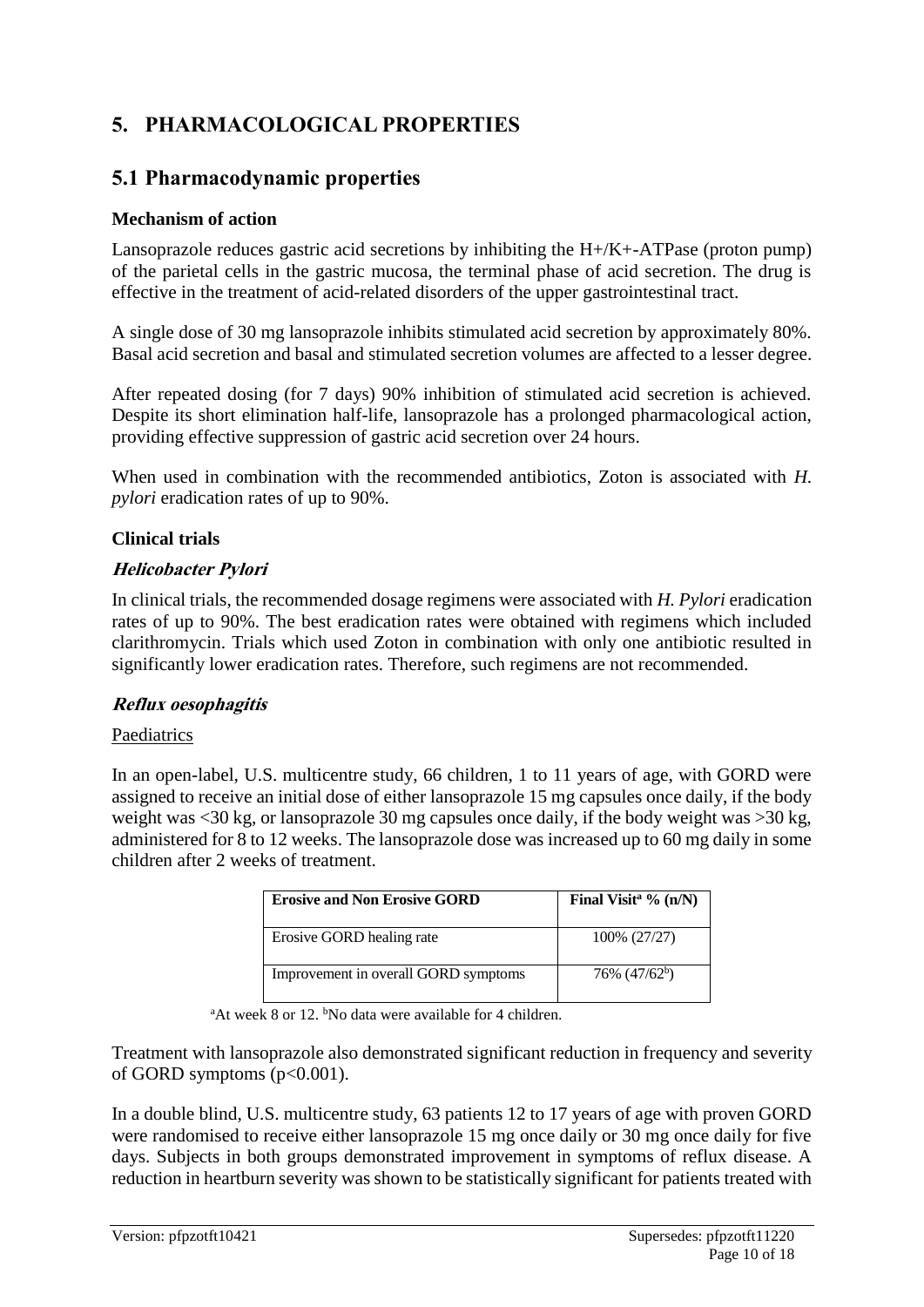# **5. PHARMACOLOGICAL PROPERTIES**

# **5.1 Pharmacodynamic properties**

### **Mechanism of action**

Lansoprazole reduces gastric acid secretions by inhibiting the  $H + /K + ATP$  (proton pump) of the parietal cells in the gastric mucosa, the terminal phase of acid secretion. The drug is effective in the treatment of acid-related disorders of the upper gastrointestinal tract.

A single dose of 30 mg lansoprazole inhibits stimulated acid secretion by approximately 80%. Basal acid secretion and basal and stimulated secretion volumes are affected to a lesser degree.

After repeated dosing (for 7 days) 90% inhibition of stimulated acid secretion is achieved. Despite its short elimination half-life, lansoprazole has a prolonged pharmacological action, providing effective suppression of gastric acid secretion over 24 hours.

When used in combination with the recommended antibiotics, Zoton is associated with *H. pylori* eradication rates of up to 90%.

### **Clinical trials**

### **Helicobacter Pylori**

In clinical trials, the recommended dosage regimens were associated with *H. Pylori* eradication rates of up to 90%. The best eradication rates were obtained with regimens which included clarithromycin. Trials which used Zoton in combination with only one antibiotic resulted in significantly lower eradication rates. Therefore, such regimens are not recommended.

#### **Reflux oesophagitis**

#### Paediatrics

In an open-label, U.S. multicentre study, 66 children, 1 to 11 years of age, with GORD were assigned to receive an initial dose of either lansoprazole 15 mg capsules once daily, if the body weight was <30 kg, or lansoprazole 30 mg capsules once daily, if the body weight was >30 kg, administered for 8 to 12 weeks. The lansoprazole dose was increased up to 60 mg daily in some children after 2 weeks of treatment.

| <b>Erosive and Non Erosive GORD</b>  | Final Visit <sup>a <math>\%</math></sup> (n/N) |
|--------------------------------------|------------------------------------------------|
| Erosive GORD healing rate            | 100% (27/27)                                   |
| Improvement in overall GORD symptoms | 76% (47/62 <sup>b</sup> )                      |

<sup>a</sup>At week 8 or 12. <sup>b</sup>No data were available for 4 children.

Treatment with lansoprazole also demonstrated significant reduction in frequency and severity of GORD symptoms (p<0.001).

In a double blind, U.S. multicentre study, 63 patients 12 to 17 years of age with proven GORD were randomised to receive either lansoprazole 15 mg once daily or 30 mg once daily for five days. Subjects in both groups demonstrated improvement in symptoms of reflux disease. A reduction in heartburn severity was shown to be statistically significant for patients treated with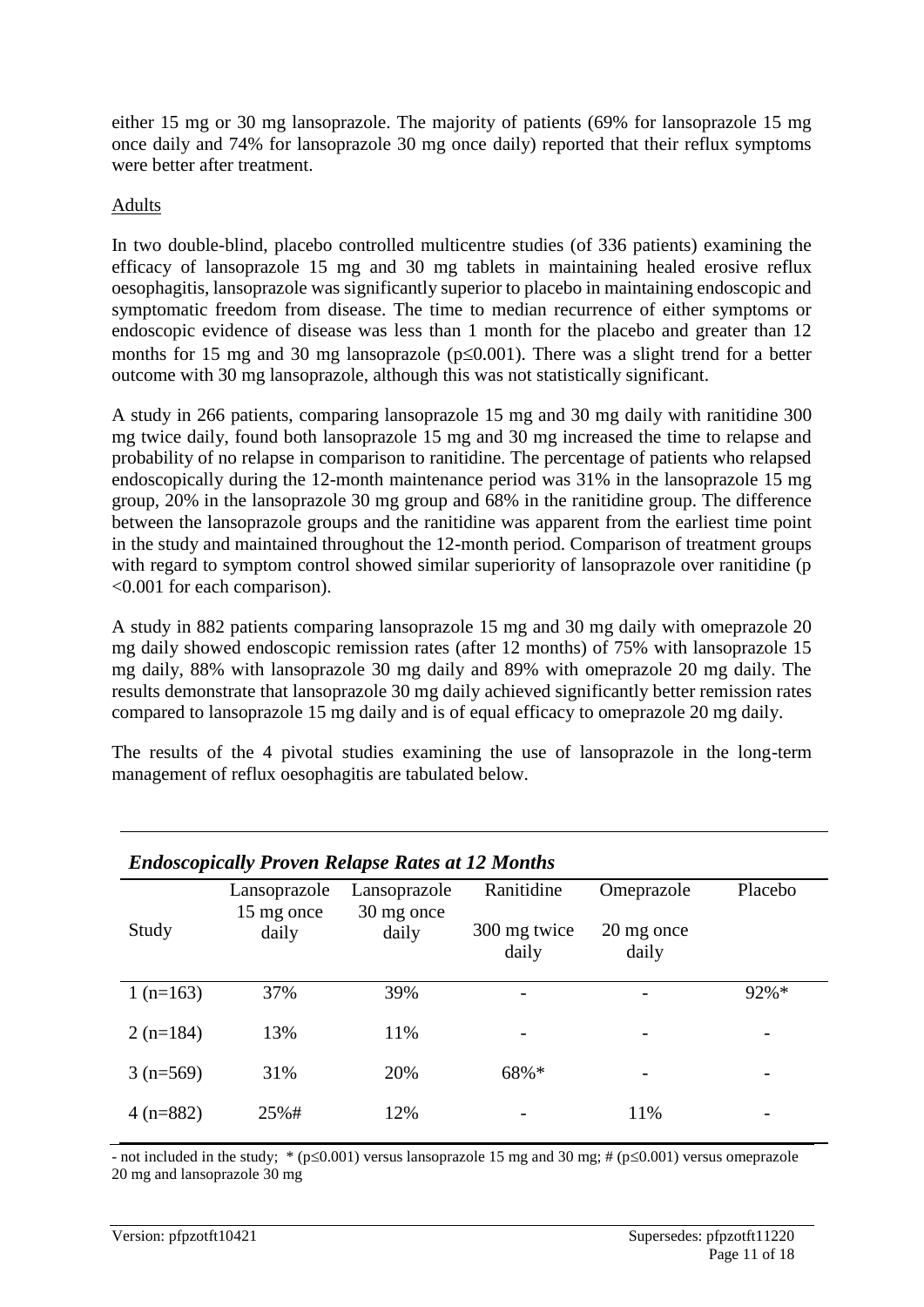either 15 mg or 30 mg lansoprazole. The majority of patients (69% for lansoprazole 15 mg once daily and 74% for lansoprazole 30 mg once daily) reported that their reflux symptoms were better after treatment.

#### Adults

In two double-blind, placebo controlled multicentre studies (of 336 patients) examining the efficacy of lansoprazole 15 mg and 30 mg tablets in maintaining healed erosive reflux oesophagitis, lansoprazole was significantly superior to placebo in maintaining endoscopic and symptomatic freedom from disease. The time to median recurrence of either symptoms or endoscopic evidence of disease was less than 1 month for the placebo and greater than 12 months for 15 mg and 30 mg lansoprazole ( $p\leq 0.001$ ). There was a slight trend for a better outcome with 30 mg lansoprazole, although this was not statistically significant.

A study in 266 patients, comparing lansoprazole 15 mg and 30 mg daily with ranitidine 300 mg twice daily, found both lansoprazole 15 mg and 30 mg increased the time to relapse and probability of no relapse in comparison to ranitidine. The percentage of patients who relapsed endoscopically during the 12-month maintenance period was 31% in the lansoprazole 15 mg group, 20% in the lansoprazole 30 mg group and 68% in the ranitidine group. The difference between the lansoprazole groups and the ranitidine was apparent from the earliest time point in the study and maintained throughout the 12-month period. Comparison of treatment groups with regard to symptom control showed similar superiority of lansoprazole over ranitidine (p <0.001 for each comparison).

A study in 882 patients comparing lansoprazole 15 mg and 30 mg daily with omeprazole 20 mg daily showed endoscopic remission rates (after 12 months) of 75% with lansoprazole 15 mg daily, 88% with lansoprazole 30 mg daily and 89% with omeprazole 20 mg daily. The results demonstrate that lansoprazole 30 mg daily achieved significantly better remission rates compared to lansoprazole 15 mg daily and is of equal efficacy to omeprazole 20 mg daily.

The results of the 4 pivotal studies examining the use of lansoprazole in the long-term management of reflux oesophagitis are tabulated below.

| <b>Endoscopically Proven Relapse Rates at 12 Months</b> |                     |                     |                       |                     |                          |
|---------------------------------------------------------|---------------------|---------------------|-----------------------|---------------------|--------------------------|
|                                                         | Lansoprazole        | Lansoprazole        | Ranitidine            | Omeprazole          | Placebo                  |
| Study                                                   | 15 mg once<br>daily | 30 mg once<br>daily | 300 mg twice<br>daily | 20 mg once<br>daily |                          |
| 1 $(n=163)$                                             | 37%                 | 39%                 |                       |                     | $92%$ *                  |
| $2(n=184)$                                              | 13%                 | 11%                 |                       |                     |                          |
| $3(n=569)$                                              | 31%                 | 20%                 | 68%*                  |                     |                          |
| $4(n=882)$                                              | 25%#                | 12%                 |                       | 11%                 | $\overline{\phantom{a}}$ |

- not included in the study;  $*(p \le 0.001)$  versus lansoprazole 15 mg and 30 mg; # ( $p \le 0.001$ ) versus omeprazole 20 mg and lansoprazole 30 mg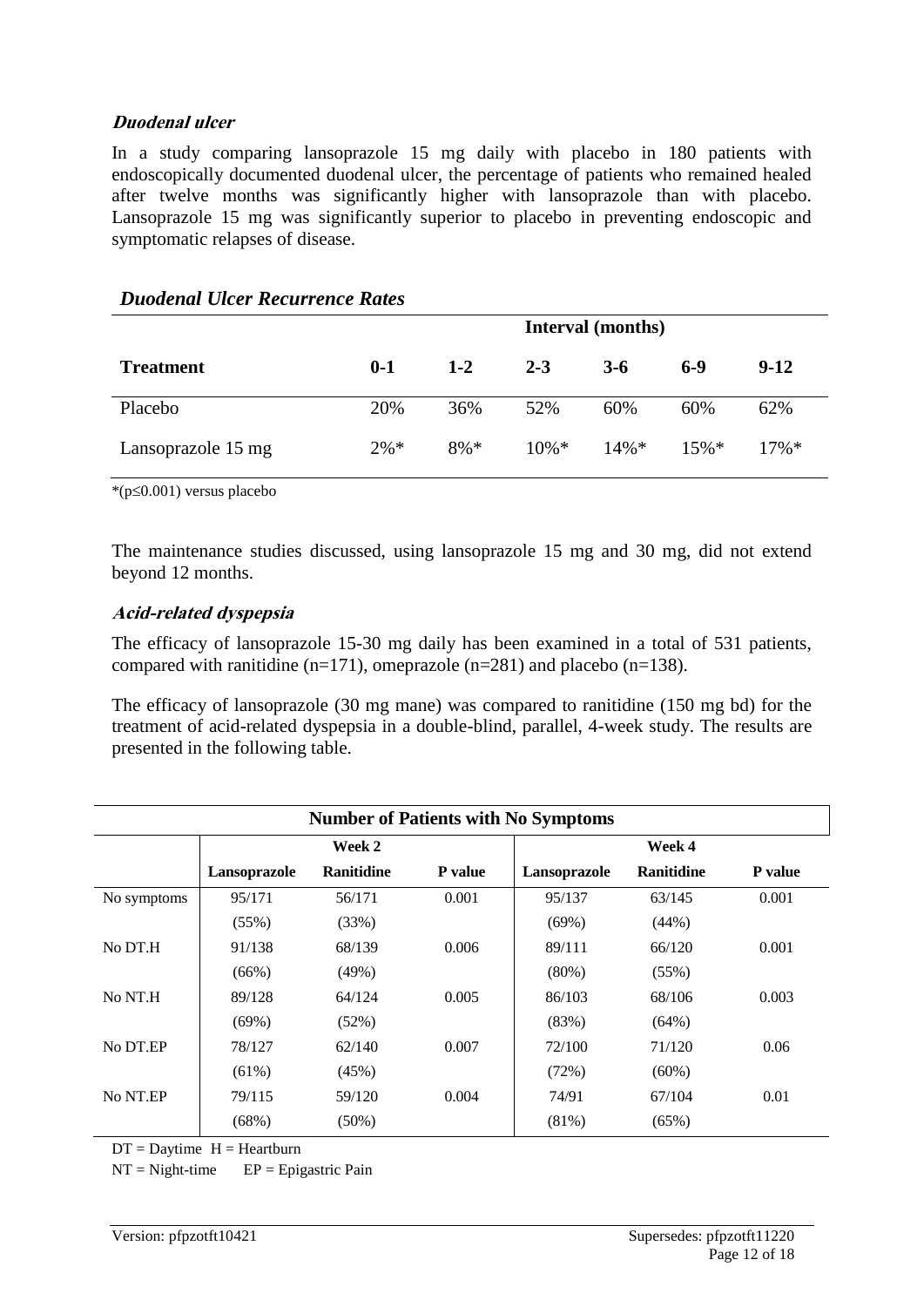#### **Duodenal ulcer**

In a study comparing lansoprazole 15 mg daily with placebo in 180 patients with endoscopically documented duodenal ulcer, the percentage of patients who remained healed after twelve months was significantly higher with lansoprazole than with placebo. Lansoprazole 15 mg was significantly superior to placebo in preventing endoscopic and symptomatic relapses of disease.

|                    | Interval (months) |         |         |         |       |         |
|--------------------|-------------------|---------|---------|---------|-------|---------|
| <b>Treatment</b>   | $0 - 1$           | $1 - 2$ | $2 - 3$ | $3-6$   | $6-9$ | $9-12$  |
| Placebo            | 20%               | 36%     | 52%     | 60%     | 60%   | 62%     |
| Lansoprazole 15 mg | $2\% *$           | $8\% *$ | $10\%*$ | $14\%*$ | 15%   | $17\%*$ |

#### *Duodenal Ulcer Recurrence Rates*

 $*(p \le 0.001)$  versus placebo

The maintenance studies discussed, using lansoprazole 15 mg and 30 mg, did not extend beyond 12 months.

#### **Acid-related dyspepsia**

The efficacy of lansoprazole 15-30 mg daily has been examined in a total of 531 patients, compared with ranitidine (n=171), omeprazole (n=281) and placebo (n=138).

The efficacy of lansoprazole (30 mg mane) was compared to ranitidine (150 mg bd) for the treatment of acid-related dyspepsia in a double-blind, parallel, 4-week study. The results are presented in the following table.

| <b>Number of Patients with No Symptoms</b> |              |                   |                |              |                   |                |
|--------------------------------------------|--------------|-------------------|----------------|--------------|-------------------|----------------|
|                                            |              | Week 2            |                |              | Week 4            |                |
|                                            | Lansoprazole | <b>Ranitidine</b> | <b>P</b> value | Lansoprazole | <b>Ranitidine</b> | <b>P</b> value |
| No symptoms                                | 95/171       | 56/171            | 0.001          | 95/137       | 63/145            | 0.001          |
|                                            | (55%)        | (33%)             |                | (69%)        | (44%)             |                |
| No DT.H                                    | 91/138       | 68/139            | 0.006          | 89/111       | 66/120            | 0.001          |
|                                            | $(66\%)$     | (49%)             |                | $(80\%)$     | (55%)             |                |
| No NT.H                                    | 89/128       | 64/124            | 0.005          | 86/103       | 68/106            | 0.003          |
|                                            | (69%)        | (52%)             |                | (83%)        | (64%)             |                |
| No DT.EP                                   | 78/127       | 62/140            | 0.007          | 72/100       | 71/120            | 0.06           |
|                                            | $(61\%)$     | (45%)             |                | (72%)        | $(60\%)$          |                |
| No NT.EP                                   | 79/115       | 59/120            | 0.004          | 74/91        | 67/104            | 0.01           |
|                                            | (68%)        | $(50\%)$          |                | (81%)        | (65%)             |                |

 $DT =$ Daytime  $H =$ Heartburn

 $NT = Night-time$   $EP = Epigastric Pain$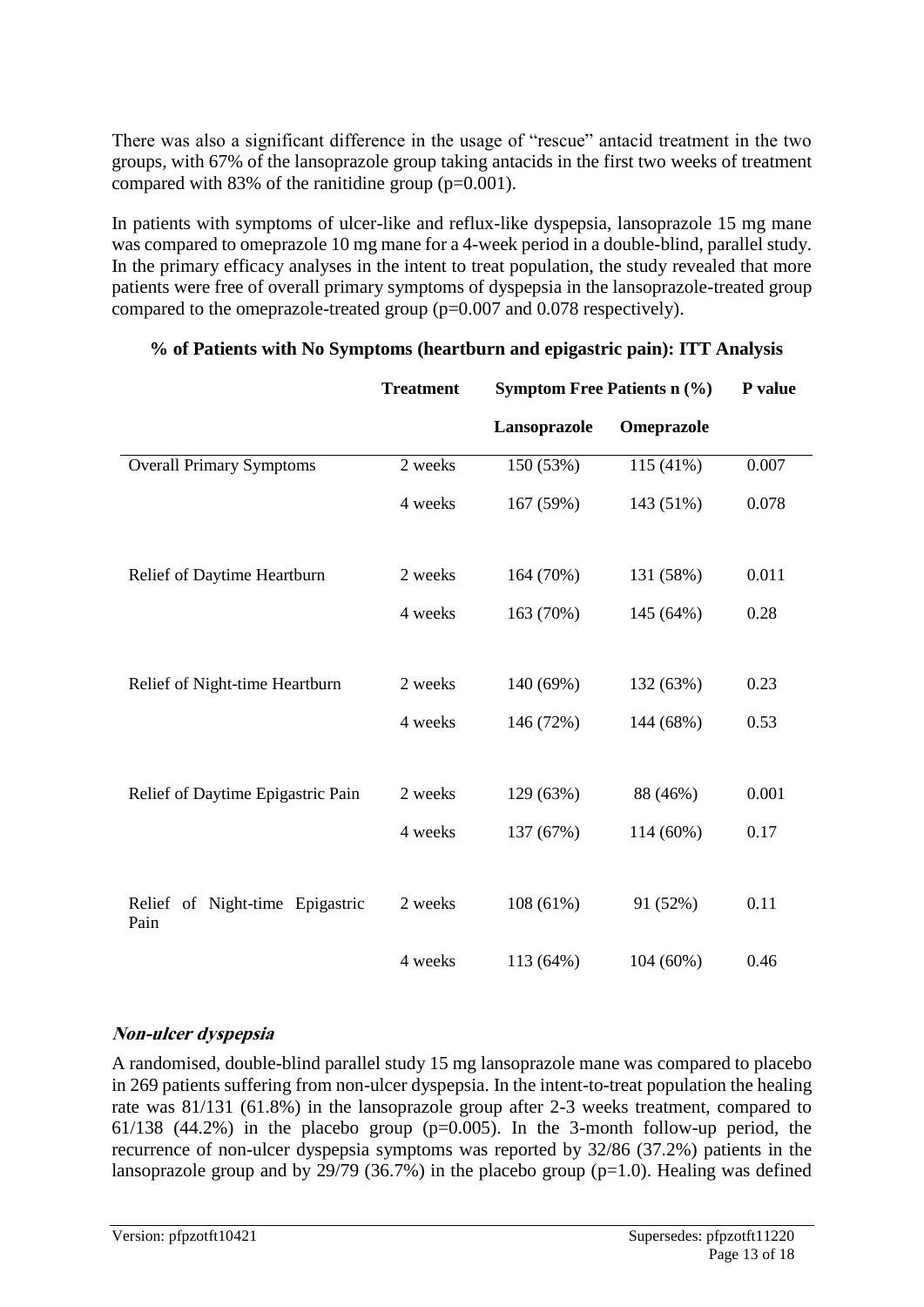There was also a significant difference in the usage of "rescue" antacid treatment in the two groups, with 67% of the lansoprazole group taking antacids in the first two weeks of treatment compared with 83% of the ranitidine group  $(p=0.001)$ .

In patients with symptoms of ulcer-like and reflux-like dyspepsia, lansoprazole 15 mg mane was compared to omeprazole 10 mg mane for a 4-week period in a double-blind, parallel study. In the primary efficacy analyses in the intent to treat population, the study revealed that more patients were free of overall primary symptoms of dyspepsia in the lansoprazole-treated group compared to the omeprazole-treated group (p=0.007 and 0.078 respectively).

|                                         | <b>Treatment</b> | <b>Symptom Free Patients n (%)</b> |            | P value |
|-----------------------------------------|------------------|------------------------------------|------------|---------|
|                                         |                  | Lansoprazole                       | Omeprazole |         |
| <b>Overall Primary Symptoms</b>         | 2 weeks          | 150 (53%)                          | 115 (41%)  | 0.007   |
|                                         | 4 weeks          | 167 (59%)                          | 143 (51%)  | 0.078   |
| Relief of Daytime Heartburn             | 2 weeks          | 164 (70%)                          | 131 (58%)  | 0.011   |
|                                         | 4 weeks          | 163 (70%)                          | 145 (64%)  | 0.28    |
|                                         |                  |                                    |            |         |
| Relief of Night-time Heartburn          | 2 weeks          | 140 (69%)                          | 132 (63%)  | 0.23    |
|                                         | 4 weeks          | 146 (72%)                          | 144 (68%)  | 0.53    |
|                                         |                  |                                    |            |         |
| Relief of Daytime Epigastric Pain       | 2 weeks          | 129 (63%)                          | 88 (46%)   | 0.001   |
|                                         | 4 weeks          | 137 (67%)                          | 114 (60%)  | 0.17    |
|                                         |                  |                                    |            |         |
| Relief of Night-time Epigastric<br>Pain | 2 weeks          | 108(61%)                           | 91 (52%)   | 0.11    |
|                                         | 4 weeks          | 113 (64%)                          | 104(60%)   | 0.46    |

#### **% of Patients with No Symptoms (heartburn and epigastric pain): ITT Analysis**

#### **Non-ulcer dyspepsia**

A randomised, double-blind parallel study 15 mg lansoprazole mane was compared to placebo in 269 patients suffering from non-ulcer dyspepsia. In the intent-to-treat population the healing rate was 81/131 (61.8%) in the lansoprazole group after 2-3 weeks treatment, compared to 61/138 (44.2%) in the placebo group ( $p=0.005$ ). In the 3-month follow-up period, the recurrence of non-ulcer dyspepsia symptoms was reported by 32/86 (37.2%) patients in the lansoprazole group and by  $29/79$  (36.7%) in the placebo group (p=1.0). Healing was defined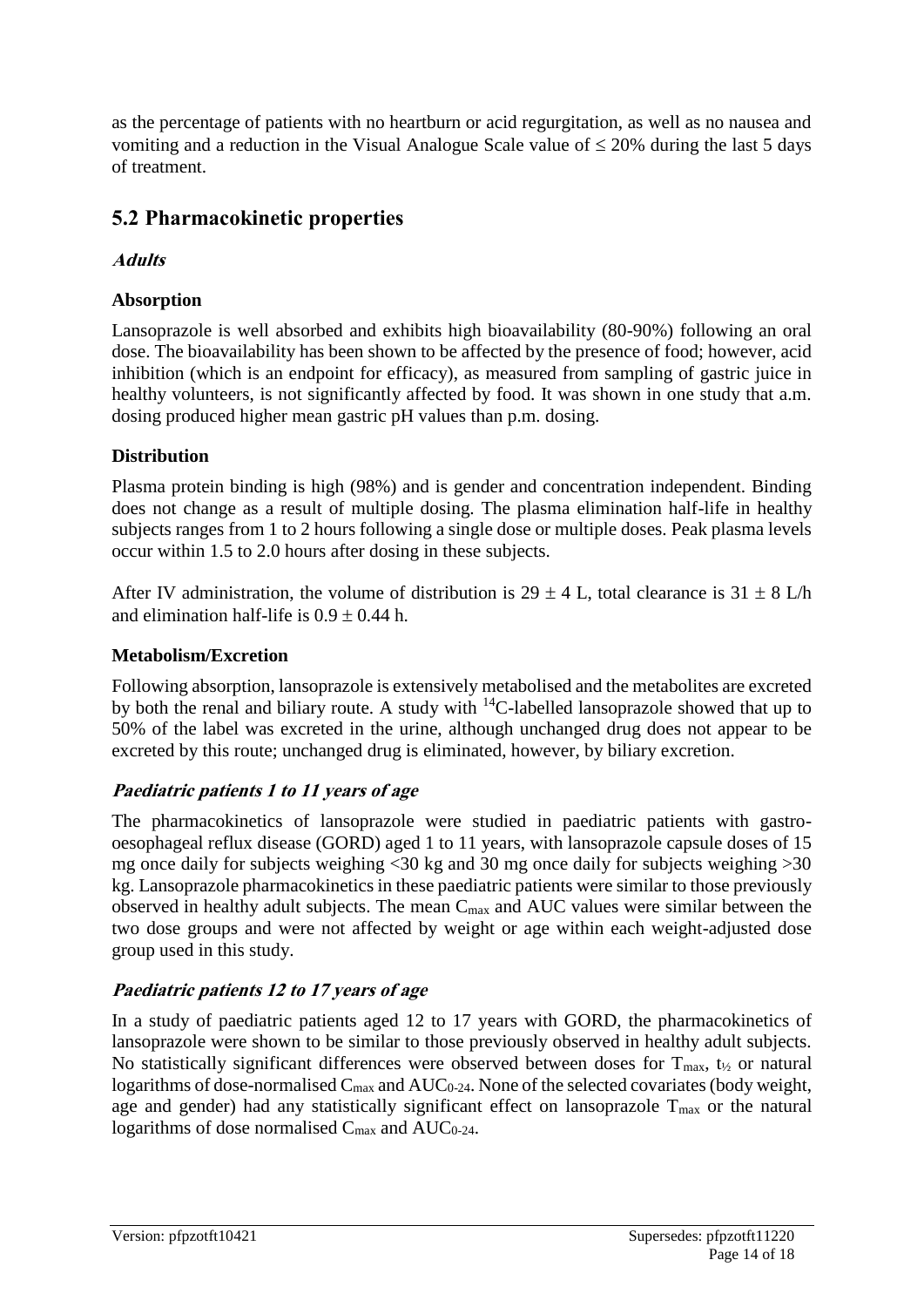as the percentage of patients with no heartburn or acid regurgitation, as well as no nausea and vomiting and a reduction in the Visual Analogue Scale value of  $\leq$  20% during the last 5 days of treatment.

# **5.2 Pharmacokinetic properties**

**Adults**

### **Absorption**

Lansoprazole is well absorbed and exhibits high bioavailability (80-90%) following an oral dose. The bioavailability has been shown to be affected by the presence of food; however, acid inhibition (which is an endpoint for efficacy), as measured from sampling of gastric juice in healthy volunteers, is not significantly affected by food. It was shown in one study that a.m. dosing produced higher mean gastric pH values than p.m. dosing.

### **Distribution**

Plasma protein binding is high (98%) and is gender and concentration independent. Binding does not change as a result of multiple dosing. The plasma elimination half-life in healthy subjects ranges from 1 to 2 hours following a single dose or multiple doses. Peak plasma levels occur within 1.5 to 2.0 hours after dosing in these subjects.

After IV administration, the volume of distribution is 29  $\pm$  4 L, total clearance is 31  $\pm$  8 L/h and elimination half-life is  $0.9 \pm 0.44$  h.

#### **Metabolism/Excretion**

Following absorption, lansoprazole is extensively metabolised and the metabolites are excreted by both the renal and biliary route. A study with <sup>14</sup>C-labelled lansoprazole showed that up to 50% of the label was excreted in the urine, although unchanged drug does not appear to be excreted by this route; unchanged drug is eliminated, however, by biliary excretion.

# **Paediatric patients 1 to 11 years of age**

The pharmacokinetics of lansoprazole were studied in paediatric patients with gastrooesophageal reflux disease (GORD) aged 1 to 11 years, with lansoprazole capsule doses of 15 mg once daily for subjects weighing <30 kg and 30 mg once daily for subjects weighing >30 kg. Lansoprazole pharmacokinetics in these paediatric patients were similar to those previously observed in healthy adult subjects. The mean Cmax and AUC values were similar between the two dose groups and were not affected by weight or age within each weight-adjusted dose group used in this study.

#### **Paediatric patients 12 to 17 years of age**

In a study of paediatric patients aged 12 to 17 years with GORD, the pharmacokinetics of lansoprazole were shown to be similar to those previously observed in healthy adult subjects. No statistically significant differences were observed between doses for  $T_{\text{max}}$ ,  $t_{\text{2}}$  or natural logarithms of dose-normalised  $C_{\text{max}}$  and  $AUC_{0-24}$ . None of the selected covariates (body weight, age and gender) had any statistically significant effect on lansoprazole  $T_{\text{max}}$  or the natural logarithms of dose normalised  $C_{\text{max}}$  and  $AUC_{0-24}$ .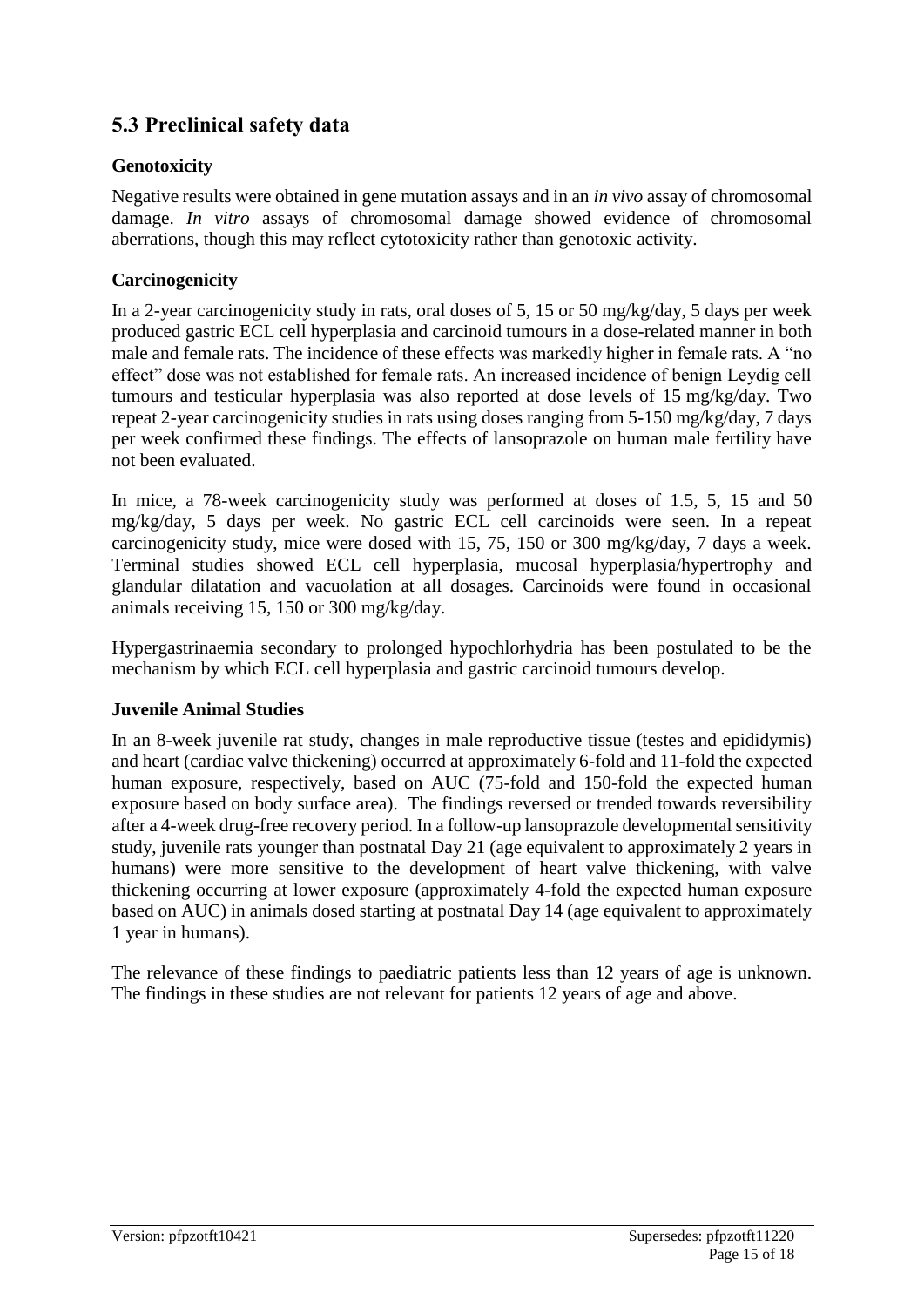# **5.3 Preclinical safety data**

#### **Genotoxicity**

Negative results were obtained in gene mutation assays and in an *in vivo* assay of chromosomal damage. *In vitro* assays of chromosomal damage showed evidence of chromosomal aberrations, though this may reflect cytotoxicity rather than genotoxic activity.

#### **Carcinogenicity**

In a 2-year carcinogenicity study in rats, oral doses of 5, 15 or 50 mg/kg/day, 5 days per week produced gastric ECL cell hyperplasia and carcinoid tumours in a dose-related manner in both male and female rats. The incidence of these effects was markedly higher in female rats. A "no effect" dose was not established for female rats. An increased incidence of benign Leydig cell tumours and testicular hyperplasia was also reported at dose levels of 15 mg/kg/day. Two repeat 2-year carcinogenicity studies in rats using doses ranging from 5-150 mg/kg/day, 7 days per week confirmed these findings. The effects of lansoprazole on human male fertility have not been evaluated.

In mice, a 78-week carcinogenicity study was performed at doses of 1.5, 5, 15 and 50 mg/kg/day, 5 days per week. No gastric ECL cell carcinoids were seen. In a repeat carcinogenicity study, mice were dosed with 15, 75, 150 or 300 mg/kg/day, 7 days a week. Terminal studies showed ECL cell hyperplasia, mucosal hyperplasia/hypertrophy and glandular dilatation and vacuolation at all dosages. Carcinoids were found in occasional animals receiving 15, 150 or 300 mg/kg/day.

Hypergastrinaemia secondary to prolonged hypochlorhydria has been postulated to be the mechanism by which ECL cell hyperplasia and gastric carcinoid tumours develop.

#### **Juvenile Animal Studies**

In an 8-week juvenile rat study, changes in male reproductive tissue (testes and epididymis) and heart (cardiac valve thickening) occurred at approximately 6-fold and 11-fold the expected human exposure, respectively, based on AUC (75-fold and 150-fold the expected human exposure based on body surface area). The findings reversed or trended towards reversibility after a 4-week drug-free recovery period. In a follow-up lansoprazole developmental sensitivity study, juvenile rats younger than postnatal Day 21 (age equivalent to approximately 2 years in humans) were more sensitive to the development of heart valve thickening, with valve thickening occurring at lower exposure (approximately 4-fold the expected human exposure based on AUC) in animals dosed starting at postnatal Day 14 (age equivalent to approximately 1 year in humans).

The relevance of these findings to paediatric patients less than 12 years of age is unknown. The findings in these studies are not relevant for patients 12 years of age and above.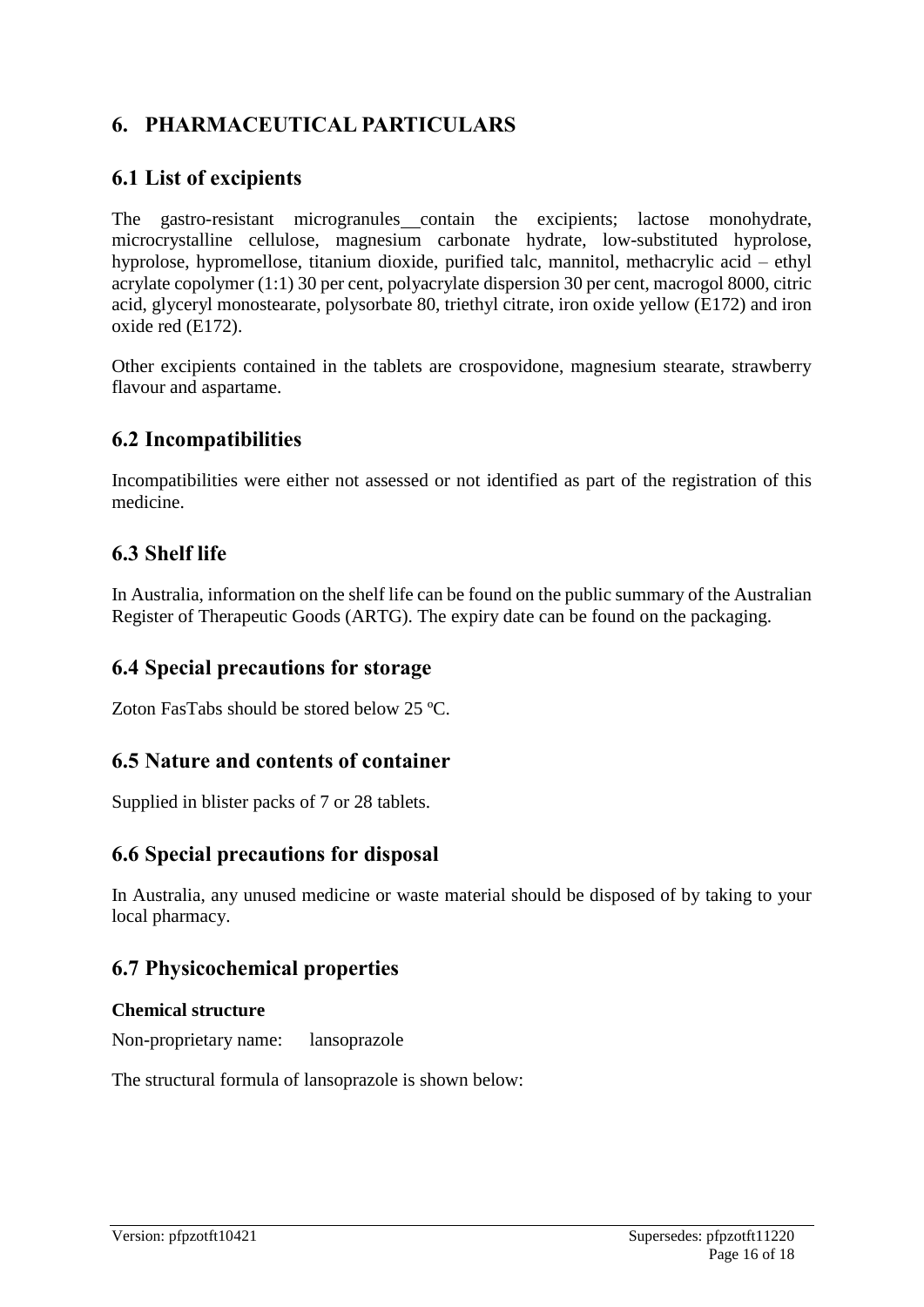# **6. PHARMACEUTICAL PARTICULARS**

# **6.1 List of excipients**

The gastro-resistant microgranules contain the excipients; lactose monohydrate, microcrystalline cellulose, magnesium carbonate hydrate, low-substituted hyprolose, hyprolose, hypromellose, titanium dioxide, purified talc, mannitol, methacrylic acid – ethyl acrylate copolymer (1:1) 30 per cent, polyacrylate dispersion 30 per cent, macrogol 8000, citric acid, glyceryl monostearate, polysorbate 80, triethyl citrate, iron oxide yellow (E172) and iron oxide red (E172).

Other excipients contained in the tablets are crospovidone, magnesium stearate, strawberry flavour and aspartame.

### **6.2 Incompatibilities**

Incompatibilities were either not assessed or not identified as part of the registration of this medicine.

# **6.3 Shelf life**

In Australia, information on the shelf life can be found on the public summary of the Australian Register of Therapeutic Goods (ARTG). The expiry date can be found on the packaging.

#### **6.4 Special precautions for storage**

Zoton FasTabs should be stored below 25 °C.

# **6.5 Nature and contents of container**

Supplied in blister packs of 7 or 28 tablets.

# **6.6 Special precautions for disposal**

In Australia, any unused medicine or waste material should be disposed of by taking to your local pharmacy.

# **6.7 Physicochemical properties**

#### **Chemical structure**

Non-proprietary name: lansoprazole

The structural formula of lansoprazole is shown below: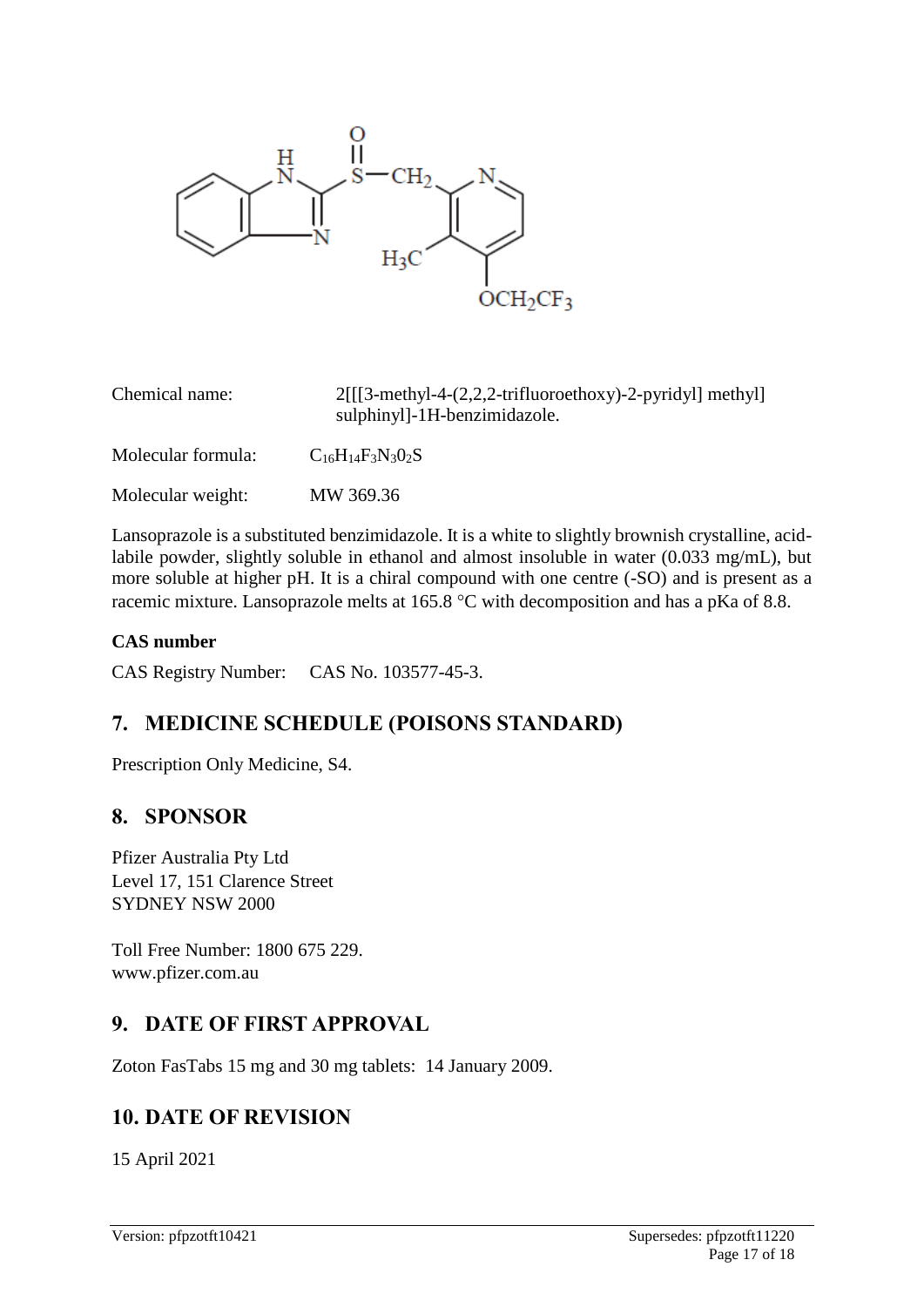

| Chemical name:     | $2[[3-methyl-4-(2,2,2-trifluoroethoxy)-2-pyridyl]$ methyl<br>sulphinyl]-1H-benzimidazole. |
|--------------------|-------------------------------------------------------------------------------------------|
| Molecular formula: | $C_{16}H_{14}F_3N_3O_2S$                                                                  |
| Molecular weight:  | MW 369.36                                                                                 |

Lansoprazole is a substituted benzimidazole. It is a white to slightly brownish crystalline, acidlabile powder, slightly soluble in ethanol and almost insoluble in water (0.033 mg/mL), but more soluble at higher pH. It is a chiral compound with one centre (-SO) and is present as a racemic mixture. Lansoprazole melts at 165.8  $^{\circ}$ C with decomposition and has a pKa of 8.8.

#### **CAS number**

CAS Registry Number: CAS No. 103577-45-3.

# **7. MEDICINE SCHEDULE (POISONS STANDARD)**

Prescription Only Medicine, S4.

# **8. SPONSOR**

Pfizer Australia Pty Ltd Level 17, 151 Clarence Street SYDNEY NSW 2000

Toll Free Number: 1800 675 229. www.pfizer.com.au

# **9. DATE OF FIRST APPROVAL**

Zoton FasTabs 15 mg and 30 mg tablets: 14 January 2009.

# **10. DATE OF REVISION**

15 April 2021